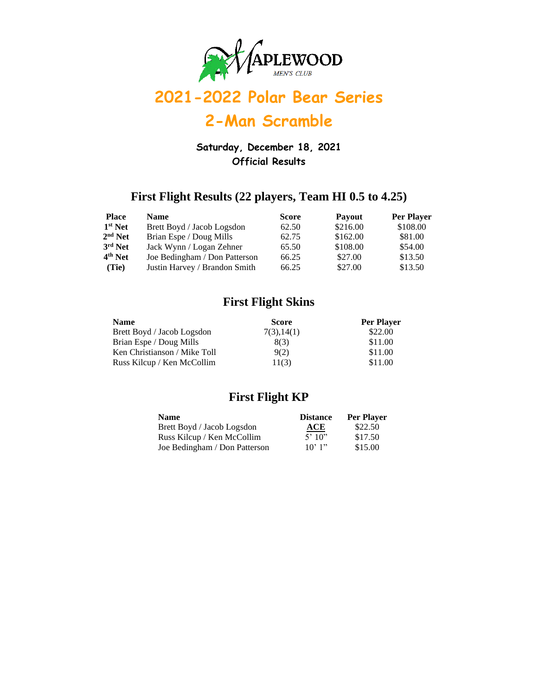

## **2-Man Scramble**

**Saturday, December 18, 2021 Official Results**

### **First Flight Results (22 players, Team HI 0.5 to 4.25)**

| <b>Place</b>        | <b>Name</b>                   | <b>Score</b> | <b>Payout</b> | Per Player |
|---------------------|-------------------------------|--------------|---------------|------------|
| $1st$ Net           | Brett Boyd / Jacob Logsdon    | 62.50        | \$216.00      | \$108.00   |
| $2nd$ Net           | Brian Espe / Doug Mills       | 62.75        | \$162.00      | \$81.00    |
| $3rd$ Net           | Jack Wynn / Logan Zehner      | 65.50        | \$108.00      | \$54.00    |
| 4 <sup>th</sup> Net | Joe Bedingham / Don Patterson | 66.25        | \$27.00       | \$13.50    |
| (Tie)               | Justin Harvey / Brandon Smith | 66.25        | \$27.00       | \$13.50    |

### **First Flight Skins**

| <b>Name</b>                  | Score       | Per Player |
|------------------------------|-------------|------------|
| Brett Boyd / Jacob Logsdon   | 7(3), 14(1) | \$22.00    |
| Brian Espe / Doug Mills      | 8(3)        | \$11.00    |
| Ken Christianson / Mike Toll | 9(2)        | \$11.00    |
| Russ Kilcup / Ken McCollim   | 11(3)       | \$11.00    |

#### **First Flight KP**

| <b>Name</b>                   | <b>Distance</b> | <b>Per Player</b> |
|-------------------------------|-----------------|-------------------|
| Brett Boyd / Jacob Logsdon    | ACE             | \$22.50           |
| Russ Kilcup / Ken McCollim    | 5'10''          | \$17.50           |
| Joe Bedingham / Don Patterson | $10'$ 1"        | \$15.00           |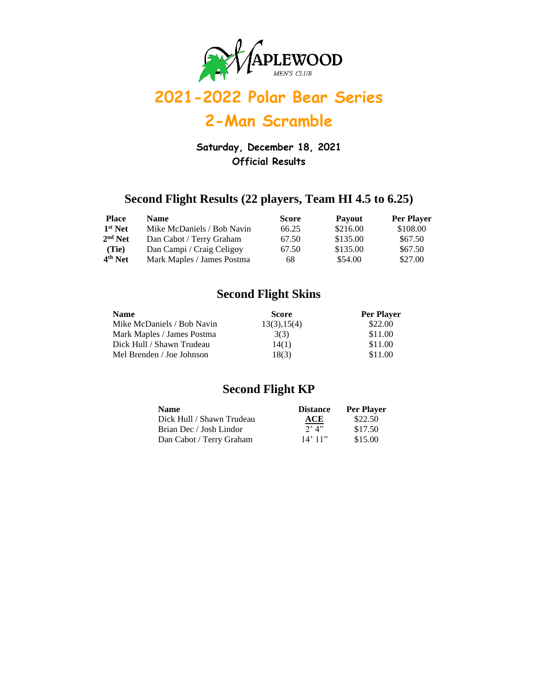

### **2-Man Scramble**

**Saturday, December 18, 2021 Official Results**

### **Second Flight Results (22 players, Team HI 4.5 to 6.25)**

| <b>Place</b> | <b>Name</b>                | Score | <b>Payout</b> | <b>Per Player</b> |
|--------------|----------------------------|-------|---------------|-------------------|
| $1st$ Net    | Mike McDaniels / Bob Navin | 66.25 | \$216.00      | \$108.00          |
| $2nd$ Net    | Dan Cabot / Terry Graham   | 67.50 | \$135.00      | \$67.50           |
| (Tie)        | Dan Campi / Craig Celigoy  | 67.50 | \$135.00      | \$67.50           |
| $4th$ Net    | Mark Maples / James Postma | 68    | \$54.00       | \$27.00           |

### **Second Flight Skins**

| <b>Name</b>                | <b>Score</b> | Per Player |
|----------------------------|--------------|------------|
| Mike McDaniels / Bob Navin | 13(3), 15(4) | \$22.00    |
| Mark Maples / James Postma | 3(3)         | \$11.00    |
| Dick Hull / Shawn Trudeau  | 14(1)        | \$11.00    |
| Mel Brenden / Joe Johnson  | 18(3)        | \$11.00    |

#### **Second Flight KP**

| <b>Name</b>               | <b>Distance</b> | <b>Per Player</b> |
|---------------------------|-----------------|-------------------|
| Dick Hull / Shawn Trudeau | ACE             | \$22.50           |
| Brian Dec / Josh Lindor   | $2'$ $4''$      | \$17.50           |
| Dan Cabot / Terry Graham  | $14'$ 11"       | \$15.00           |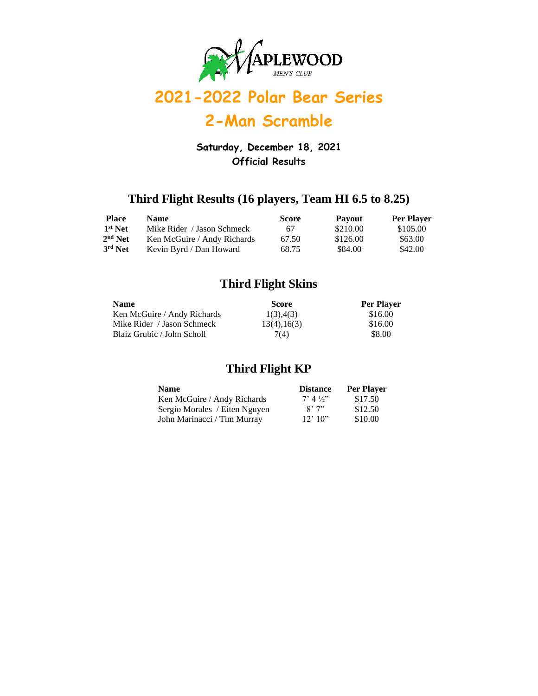

## **2-Man Scramble**

**Saturday, December 18, 2021 Official Results**

### **Third Flight Results (16 players, Team HI 6.5 to 8.25)**

| <b>Place</b>        | <b>Name</b>                 | <b>Score</b> | <b>Payout</b> | <b>Per Player</b> |
|---------------------|-----------------------------|--------------|---------------|-------------------|
| 1 <sup>st</sup> Net | Mike Rider / Jason Schmeck  | 67           | \$210.00      | \$105.00          |
| $2nd$ Net           | Ken McGuire / Andy Richards | 67.50        | \$126.00      | \$63.00           |
| 3rd Net             | Kevin Byrd / Dan Howard     | 68.75        | \$84.00       | \$42.00           |

#### **Third Flight Skins**

| <b>Name</b>                 | <b>Score</b>     | <b>Per Player</b> |
|-----------------------------|------------------|-------------------|
| Ken McGuire / Andy Richards | 1(3), 4(3)       | \$16.00           |
| Mike Rider / Jason Schmeck  | 13(4), 16(3)     | \$16.00           |
| Blaiz Grubic / John Scholl  | 7 <sub>(4)</sub> | \$8.00            |

### **Third Flight KP**

| <b>Name</b>                   | <b>Distance</b>      | Per Player |
|-------------------------------|----------------------|------------|
| Ken McGuire / Andy Richards   | $7'$ 4 $\frac{1}{2}$ | \$17.50    |
| Sergio Morales / Eiten Nguyen | 8'7''                | \$12.50    |
| John Marinacci / Tim Murray   | $12'$ 10"            | \$10.00    |